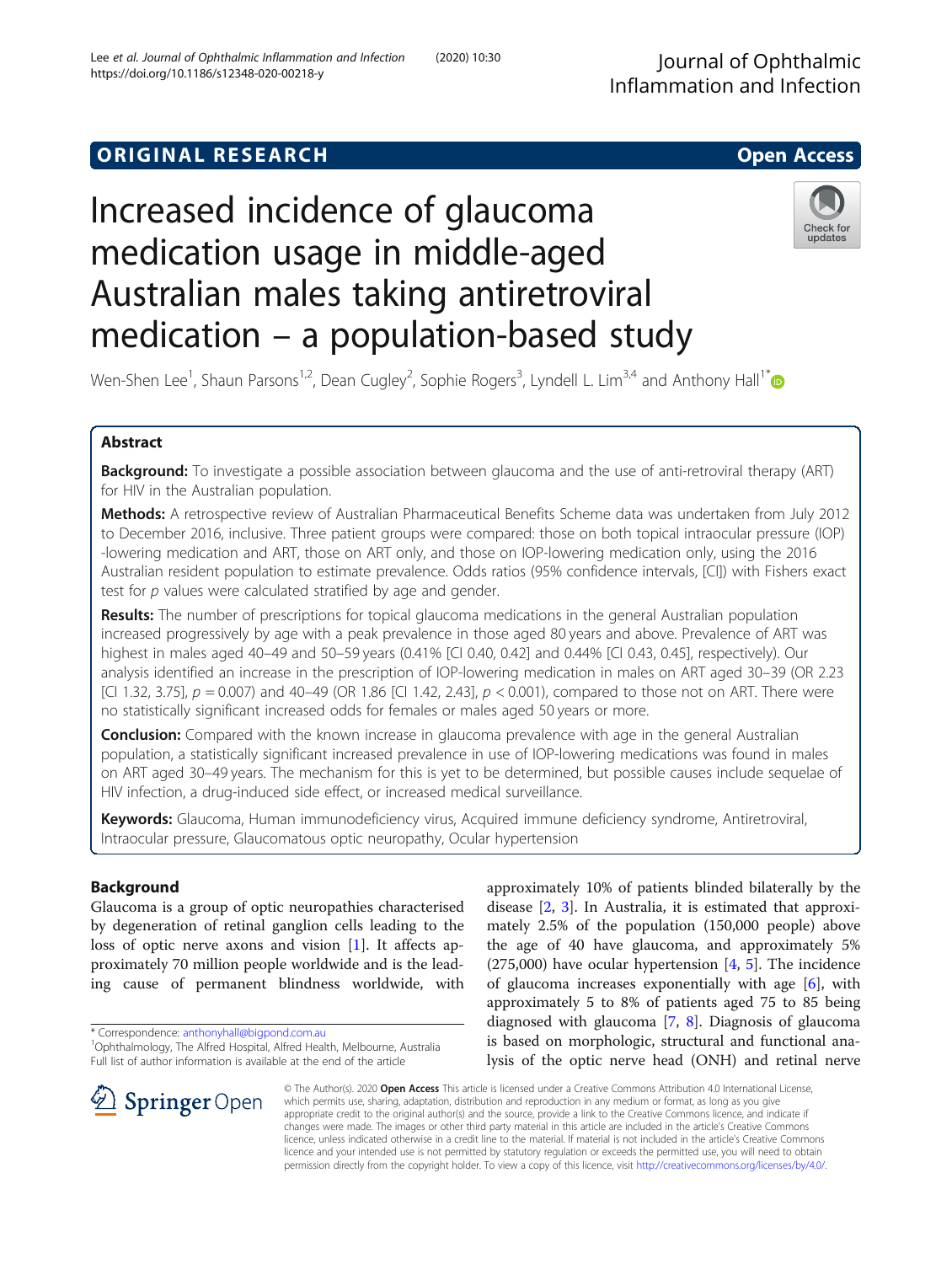# **ORIGINAL RESEARCH CONSUMING ACCESS**



# Increased incidence of glaucoma medication usage in middle-aged Australian males taking antiretroviral medication – a population-based study



Wen-Shen Lee<sup>1</sup>, Shaun Parsons<sup>1,2</sup>, Dean Cugley<sup>2</sup>, Sophie Rogers<sup>3</sup>, Lyndell L. Lim<sup>3,4</sup> and Anthony Hall<sup>1[\\*](http://orcid.org/0000-0003-1760-3759)</sup>

# Abstract

Background: To investigate a possible association between glaucoma and the use of anti-retroviral therapy (ART) for HIV in the Australian population.

Methods: A retrospective review of Australian Pharmaceutical Benefits Scheme data was undertaken from July 2012 to December 2016, inclusive. Three patient groups were compared: those on both topical intraocular pressure (IOP) -lowering medication and ART, those on ART only, and those on IOP-lowering medication only, using the 2016 Australian resident population to estimate prevalence. Odds ratios (95% confidence intervals, [CI]) with Fishers exact test for  $p$  values were calculated stratified by age and gender.

Results: The number of prescriptions for topical glaucoma medications in the general Australian population increased progressively by age with a peak prevalence in those aged 80 years and above. Prevalence of ART was highest in males aged 40–49 and 50–59 years (0.41% [CI 0.40, 0.42] and 0.44% [CI 0.43, 0.45], respectively). Our analysis identified an increase in the prescription of IOP-lowering medication in males on ART aged 30–39 (OR 2.23 [CI 1.32, 3.75],  $p = 0.007$ ) and 40–49 (OR 1.86 [CI 1.42, 2.43],  $p < 0.001$ ), compared to those not on ART. There were no statistically significant increased odds for females or males aged 50 years or more.

**Conclusion:** Compared with the known increase in glaucoma prevalence with age in the general Australian population, a statistically significant increased prevalence in use of IOP-lowering medications was found in males on ART aged 30–49 years. The mechanism for this is yet to be determined, but possible causes include sequelae of HIV infection, a drug-induced side effect, or increased medical surveillance.

Keywords: Glaucoma, Human immunodeficiency virus, Acquired immune deficiency syndrome, Antiretroviral, Intraocular pressure, Glaucomatous optic neuropathy, Ocular hypertension

# Background

Glaucoma is a group of optic neuropathies characterised by degeneration of retinal ganglion cells leading to the loss of optic nerve axons and vision [[1\]](#page-6-0). It affects approximately 70 million people worldwide and is the leading cause of permanent blindness worldwide, with

Ophthalmology, The Alfred Hospital, Alfred Health, Melbourne, Australia Full list of author information is available at the end of the article

approximately 10% of patients blinded bilaterally by the disease [\[2](#page-6-0), [3](#page-6-0)]. In Australia, it is estimated that approximately 2.5% of the population (150,000 people) above the age of 40 have glaucoma, and approximately 5% (275,000) have ocular hypertension [\[4](#page-6-0), [5\]](#page-6-0). The incidence of glaucoma increases exponentially with age [[6\]](#page-6-0), with approximately 5 to 8% of patients aged 75 to 85 being diagnosed with glaucoma [\[7](#page-6-0), [8](#page-6-0)]. Diagnosis of glaucoma is based on morphologic, structural and functional analysis of the optic nerve head (ONH) and retinal nerve



© The Author(s). 2020 Open Access This article is licensed under a Creative Commons Attribution 4.0 International License, which permits use, sharing, adaptation, distribution and reproduction in any medium or format, as long as you give appropriate credit to the original author(s) and the source, provide a link to the Creative Commons licence, and indicate if changes were made. The images or other third party material in this article are included in the article's Creative Commons licence, unless indicated otherwise in a credit line to the material. If material is not included in the article's Creative Commons licence and your intended use is not permitted by statutory regulation or exceeds the permitted use, you will need to obtain permission directly from the copyright holder. To view a copy of this licence, visit <http://creativecommons.org/licenses/by/4.0/>.

<sup>\*</sup> Correspondence: [anthonyhall@bigpond.com.au](mailto:anthonyhall@bigpond.com.au) <sup>1</sup>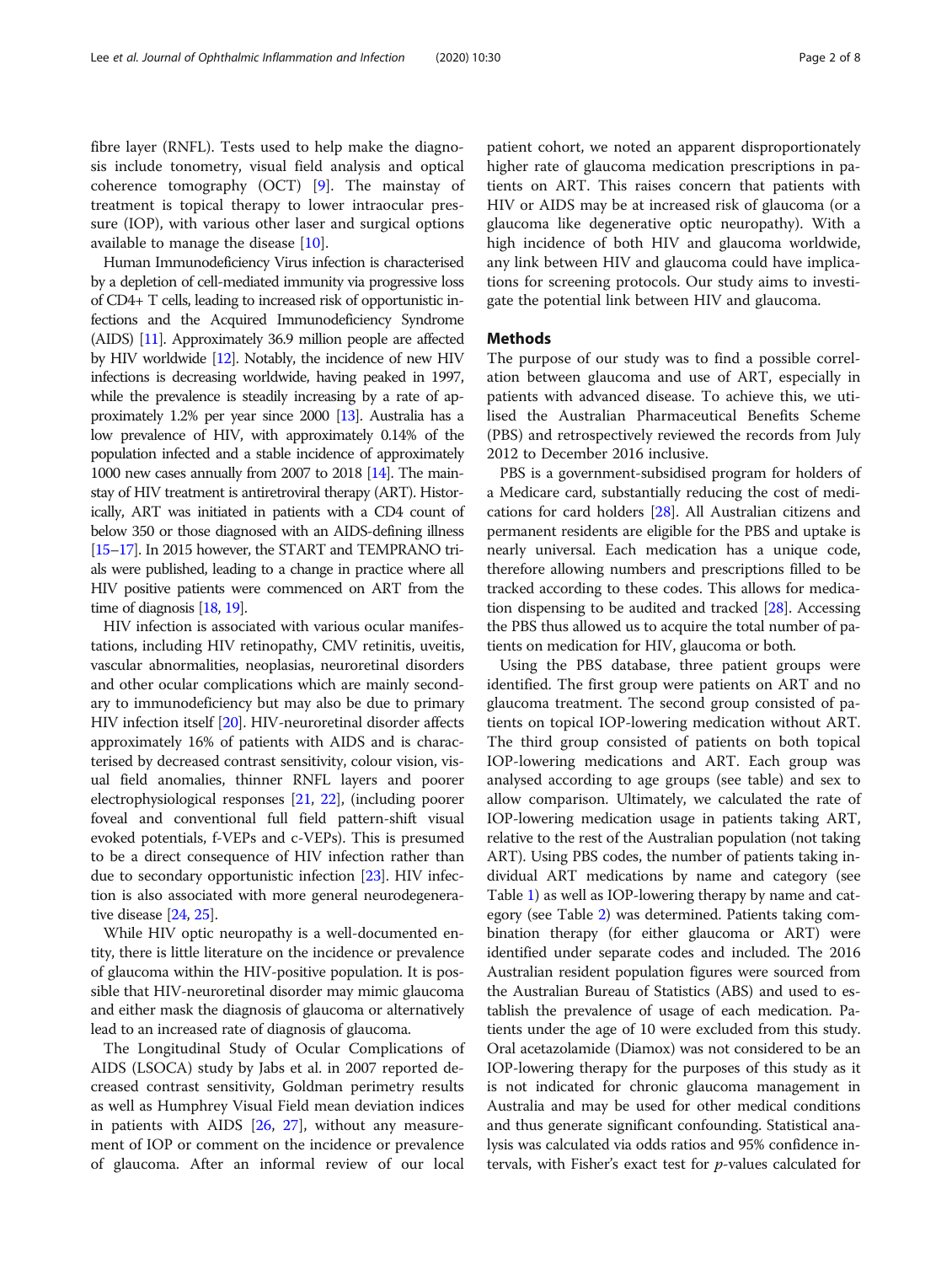fibre layer (RNFL). Tests used to help make the diagnosis include tonometry, visual field analysis and optical coherence tomography (OCT) [[9\]](#page-6-0). The mainstay of treatment is topical therapy to lower intraocular pressure (IOP), with various other laser and surgical options available to manage the disease [[10](#page-6-0)].

Human Immunodeficiency Virus infection is characterised by a depletion of cell-mediated immunity via progressive loss of CD4+ T cells, leading to increased risk of opportunistic infections and the Acquired Immunodeficiency Syndrome (AIDS) [\[11](#page-6-0)]. Approximately 36.9 million people are affected by HIV worldwide [\[12\]](#page-6-0). Notably, the incidence of new HIV infections is decreasing worldwide, having peaked in 1997, while the prevalence is steadily increasing by a rate of approximately 1.2% per year since 2000 [\[13](#page-6-0)]. Australia has a low prevalence of HIV, with approximately 0.14% of the population infected and a stable incidence of approximately 1000 new cases annually from 2007 to 2018 [\[14\]](#page-6-0). The mainstay of HIV treatment is antiretroviral therapy (ART). Historically, ART was initiated in patients with a CD4 count of below 350 or those diagnosed with an AIDS-defining illness [[15](#page-6-0)–[17\]](#page-6-0). In 2015 however, the START and TEMPRANO trials were published, leading to a change in practice where all HIV positive patients were commenced on ART from the time of diagnosis [\[18](#page-6-0), [19\]](#page-6-0).

HIV infection is associated with various ocular manifestations, including HIV retinopathy, CMV retinitis, uveitis, vascular abnormalities, neoplasias, neuroretinal disorders and other ocular complications which are mainly secondary to immunodeficiency but may also be due to primary HIV infection itself [\[20\]](#page-6-0). HIV-neuroretinal disorder affects approximately 16% of patients with AIDS and is characterised by decreased contrast sensitivity, colour vision, visual field anomalies, thinner RNFL layers and poorer electrophysiological responses [\[21,](#page-6-0) [22](#page-6-0)], (including poorer foveal and conventional full field pattern-shift visual evoked potentials, f-VEPs and c-VEPs). This is presumed to be a direct consequence of HIV infection rather than due to secondary opportunistic infection [[23](#page-6-0)]. HIV infection is also associated with more general neurodegenerative disease [\[24,](#page-6-0) [25](#page-6-0)].

While HIV optic neuropathy is a well-documented entity, there is little literature on the incidence or prevalence of glaucoma within the HIV-positive population. It is possible that HIV-neuroretinal disorder may mimic glaucoma and either mask the diagnosis of glaucoma or alternatively lead to an increased rate of diagnosis of glaucoma.

The Longitudinal Study of Ocular Complications of AIDS (LSOCA) study by Jabs et al. in 2007 reported decreased contrast sensitivity, Goldman perimetry results as well as Humphrey Visual Field mean deviation indices in patients with AIDS [\[26,](#page-6-0) [27\]](#page-6-0), without any measurement of IOP or comment on the incidence or prevalence of glaucoma. After an informal review of our local

patient cohort, we noted an apparent disproportionately higher rate of glaucoma medication prescriptions in patients on ART. This raises concern that patients with HIV or AIDS may be at increased risk of glaucoma (or a glaucoma like degenerative optic neuropathy). With a high incidence of both HIV and glaucoma worldwide, any link between HIV and glaucoma could have implications for screening protocols. Our study aims to investigate the potential link between HIV and glaucoma.

## Methods

The purpose of our study was to find a possible correlation between glaucoma and use of ART, especially in patients with advanced disease. To achieve this, we utilised the Australian Pharmaceutical Benefits Scheme (PBS) and retrospectively reviewed the records from July 2012 to December 2016 inclusive.

PBS is a government-subsidised program for holders of a Medicare card, substantially reducing the cost of medications for card holders [\[28\]](#page-6-0). All Australian citizens and permanent residents are eligible for the PBS and uptake is nearly universal. Each medication has a unique code, therefore allowing numbers and prescriptions filled to be tracked according to these codes. This allows for medication dispensing to be audited and tracked [[28](#page-6-0)]. Accessing the PBS thus allowed us to acquire the total number of patients on medication for HIV, glaucoma or both.

Using the PBS database, three patient groups were identified. The first group were patients on ART and no glaucoma treatment. The second group consisted of patients on topical IOP-lowering medication without ART. The third group consisted of patients on both topical IOP-lowering medications and ART. Each group was analysed according to age groups (see table) and sex to allow comparison. Ultimately, we calculated the rate of IOP-lowering medication usage in patients taking ART, relative to the rest of the Australian population (not taking ART). Using PBS codes, the number of patients taking individual ART medications by name and category (see Table [1\)](#page-2-0) as well as IOP-lowering therapy by name and category (see Table [2](#page-2-0)) was determined. Patients taking combination therapy (for either glaucoma or ART) were identified under separate codes and included. The 2016 Australian resident population figures were sourced from the Australian Bureau of Statistics (ABS) and used to establish the prevalence of usage of each medication. Patients under the age of 10 were excluded from this study. Oral acetazolamide (Diamox) was not considered to be an IOP-lowering therapy for the purposes of this study as it is not indicated for chronic glaucoma management in Australia and may be used for other medical conditions and thus generate significant confounding. Statistical analysis was calculated via odds ratios and 95% confidence intervals, with Fisher's exact test for  $p$ -values calculated for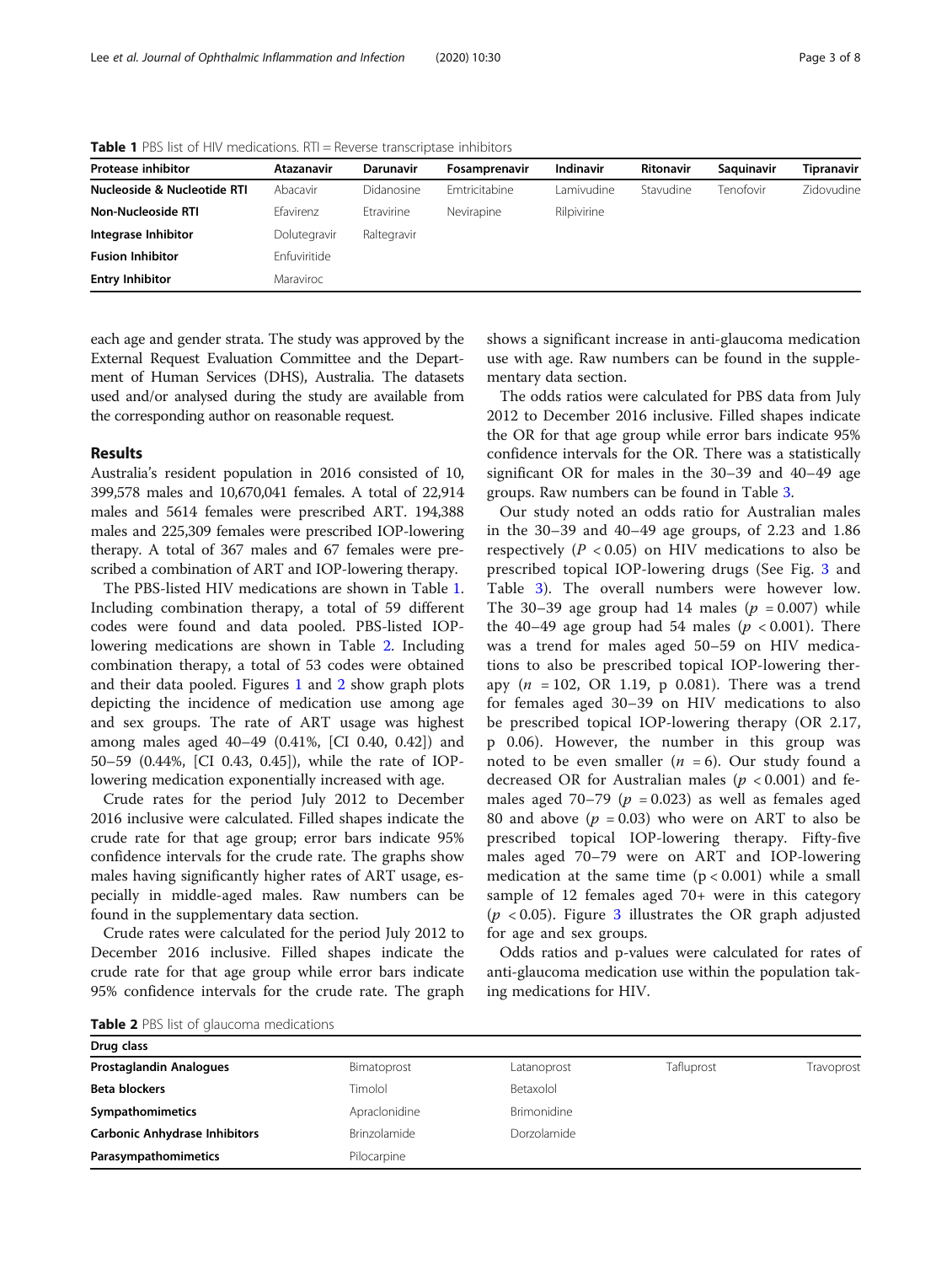| <b>Protease inhibitor</b>   | Atazanavir   | Darunavir   | Fosamprenavir | Indinavir   | <b>Ritonavir</b> | Saguinavir | Tipranavir |
|-----------------------------|--------------|-------------|---------------|-------------|------------------|------------|------------|
| Nucleoside & Nucleotide RTI | Abacavir     | Didanosine  | Emtricitabine | Lamivudine  | Stavudine        | Tenofovir  | Zidovudine |
| Non-Nucleoside RTI          | Efavirenz    | Etravirine  | Nevirapine    | Rilpivirine |                  |            |            |
| Integrase Inhibitor         | Dolutegravir | Raltegravir |               |             |                  |            |            |
| <b>Fusion Inhibitor</b>     | Enfuviritide |             |               |             |                  |            |            |
| <b>Entry Inhibitor</b>      | Maraviroc    |             |               |             |                  |            |            |

<span id="page-2-0"></span>**Table 1** PBS list of HIV medications. RTI = Reverse transcriptase inhibitors

each age and gender strata. The study was approved by the External Request Evaluation Committee and the Department of Human Services (DHS), Australia. The datasets used and/or analysed during the study are available from the corresponding author on reasonable request.

# Results

Australia's resident population in 2016 consisted of 10, 399,578 males and 10,670,041 females. A total of 22,914 males and 5614 females were prescribed ART. 194,388 males and 225,309 females were prescribed IOP-lowering therapy. A total of 367 males and 67 females were prescribed a combination of ART and IOP-lowering therapy.

The PBS-listed HIV medications are shown in Table 1. Including combination therapy, a total of 59 different codes were found and data pooled. PBS-listed IOPlowering medications are shown in Table 2. Including combination therapy, a total of 53 codes were obtained and their data pooled. Figures [1](#page-3-0) and [2](#page-3-0) show graph plots depicting the incidence of medication use among age and sex groups. The rate of ART usage was highest among males aged 40–49 (0.41%, [CI 0.40, 0.42]) and 50–59 (0.44%, [CI 0.43, 0.45]), while the rate of IOPlowering medication exponentially increased with age.

Crude rates for the period July 2012 to December 2016 inclusive were calculated. Filled shapes indicate the crude rate for that age group; error bars indicate 95% confidence intervals for the crude rate. The graphs show males having significantly higher rates of ART usage, especially in middle-aged males. Raw numbers can be found in the supplementary data section.

Crude rates were calculated for the period July 2012 to December 2016 inclusive. Filled shapes indicate the crude rate for that age group while error bars indicate 95% confidence intervals for the crude rate. The graph

shows a significant increase in anti-glaucoma medication use with age. Raw numbers can be found in the supplementary data section.

The odds ratios were calculated for PBS data from July 2012 to December 2016 inclusive. Filled shapes indicate the OR for that age group while error bars indicate 95% confidence intervals for the OR. There was a statistically significant OR for males in the 30–39 and 40–49 age groups. Raw numbers can be found in Table [3.](#page-4-0)

Our study noted an odds ratio for Australian males in the 30–39 and 40–49 age groups, of 2.23 and 1.86 respectively ( $P < 0.05$ ) on HIV medications to also be prescribed topical IOP-lowering drugs (See Fig. [3](#page-4-0) and Table [3\)](#page-4-0). The overall numbers were however low. The 30–39 age group had 14 males ( $p = 0.007$ ) while the 40–49 age group had 54 males ( $p < 0.001$ ). There was a trend for males aged 50–59 on HIV medications to also be prescribed topical IOP-lowering therapy  $(n = 102, \text{ OR } 1.19, \text{ p } 0.081)$ . There was a trend for females aged 30–39 on HIV medications to also be prescribed topical IOP-lowering therapy (OR 2.17, p 0.06). However, the number in this group was noted to be even smaller  $(n = 6)$ . Our study found a decreased OR for Australian males ( $p < 0.001$ ) and females aged 70–79 ( $p = 0.023$ ) as well as females aged 80 and above  $(p = 0.03)$  who were on ART to also be prescribed topical IOP-lowering therapy. Fifty-five males aged 70–79 were on ART and IOP-lowering medication at the same time  $(p < 0.001)$  while a small sample of 12 females aged 70+ were in this category  $(p < 0.05)$ . Figure [3](#page-4-0) illustrates the OR graph adjusted for age and sex groups.

Odds ratios and p-values were calculated for rates of anti-glaucoma medication use within the population taking medications for HIV.

Table 2 PBS list of glaucoma medications

| Drug class                           |               |                    |            |            |  |  |
|--------------------------------------|---------------|--------------------|------------|------------|--|--|
| <b>Prostaglandin Analogues</b>       | Bimatoprost   | Latanoprost        | Tafluprost | Travoprost |  |  |
| <b>Beta blockers</b>                 | Timolol       | Betaxolol          |            |            |  |  |
| Sympathomimetics                     | Apraclonidine | <b>Brimonidine</b> |            |            |  |  |
| <b>Carbonic Anhydrase Inhibitors</b> | Brinzolamide  | Dorzolamide        |            |            |  |  |
| Parasympathomimetics                 | Pilocarpine   |                    |            |            |  |  |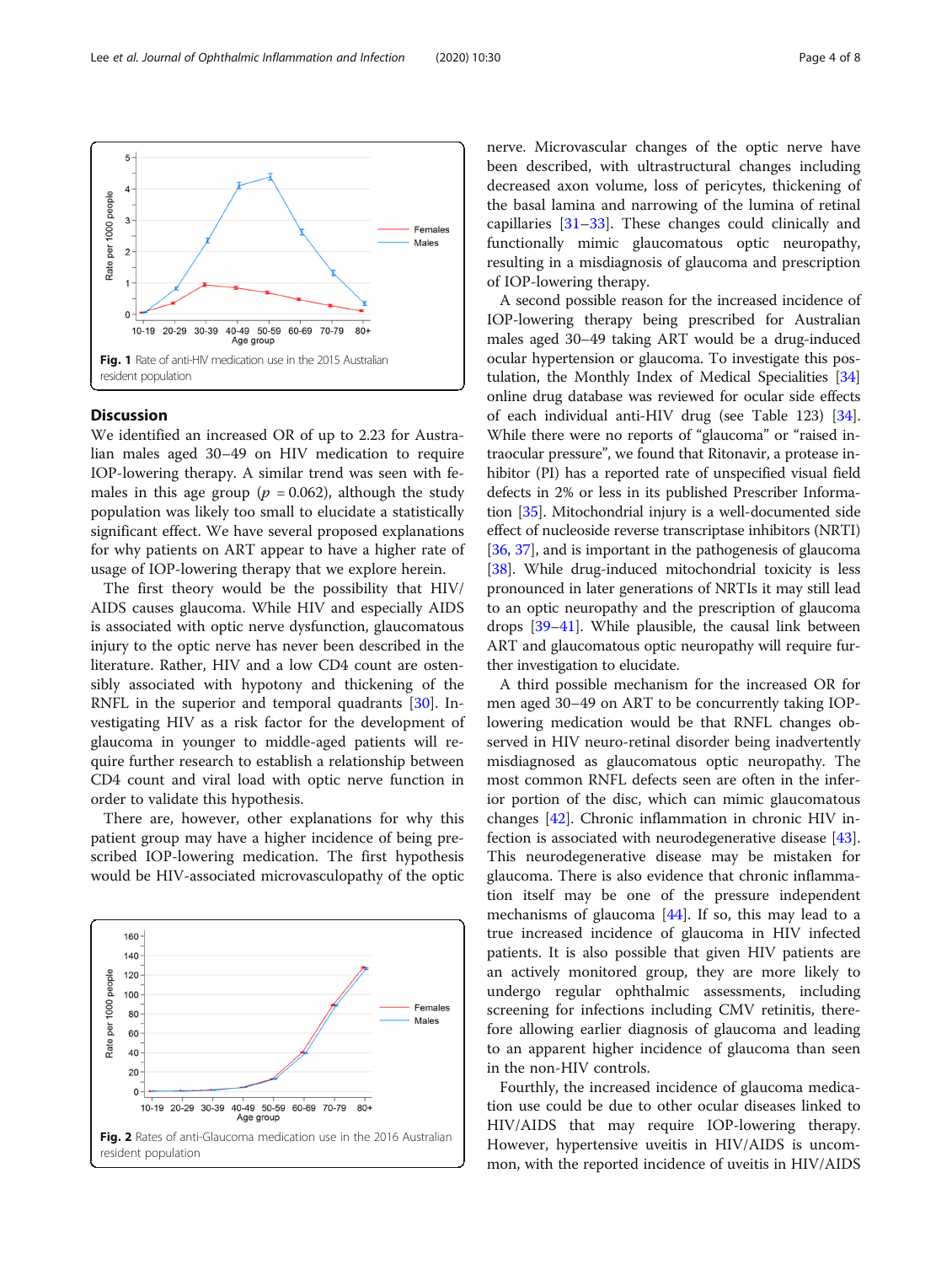

<span id="page-3-0"></span>

# **Discussion**

We identified an increased OR of up to 2.23 for Australian males aged 30–49 on HIV medication to require IOP-lowering therapy. A similar trend was seen with females in this age group ( $p = 0.062$ ), although the study population was likely too small to elucidate a statistically significant effect. We have several proposed explanations for why patients on ART appear to have a higher rate of usage of IOP-lowering therapy that we explore herein.

The first theory would be the possibility that HIV/ AIDS causes glaucoma. While HIV and especially AIDS is associated with optic nerve dysfunction, glaucomatous injury to the optic nerve has never been described in the literature. Rather, HIV and a low CD4 count are ostensibly associated with hypotony and thickening of the RNFL in the superior and temporal quadrants [\[30\]](#page-6-0). Investigating HIV as a risk factor for the development of glaucoma in younger to middle-aged patients will require further research to establish a relationship between CD4 count and viral load with optic nerve function in order to validate this hypothesis.

There are, however, other explanations for why this patient group may have a higher incidence of being prescribed IOP-lowering medication. The first hypothesis would be HIV-associated microvasculopathy of the optic



nerve. Microvascular changes of the optic nerve have been described, with ultrastructural changes including decreased axon volume, loss of pericytes, thickening of the basal lamina and narrowing of the lumina of retinal capillaries [\[31](#page-6-0)–[33\]](#page-6-0). These changes could clinically and functionally mimic glaucomatous optic neuropathy, resulting in a misdiagnosis of glaucoma and prescription of IOP-lowering therapy.

A second possible reason for the increased incidence of IOP-lowering therapy being prescribed for Australian males aged 30–49 taking ART would be a drug-induced ocular hypertension or glaucoma. To investigate this postulation, the Monthly Index of Medical Specialities [[34](#page-6-0)] online drug database was reviewed for ocular side effects of each individual anti-HIV drug (see Table 123) [[34](#page-6-0)]. While there were no reports of "glaucoma" or "raised intraocular pressure", we found that Ritonavir, a protease inhibitor (PI) has a reported rate of unspecified visual field defects in 2% or less in its published Prescriber Information [\[35\]](#page-6-0). Mitochondrial injury is a well-documented side effect of nucleoside reverse transcriptase inhibitors (NRTI) [[36](#page-6-0), [37\]](#page-6-0), and is important in the pathogenesis of glaucoma [[38](#page-6-0)]. While drug-induced mitochondrial toxicity is less pronounced in later generations of NRTIs it may still lead to an optic neuropathy and the prescription of glaucoma drops [[39](#page-6-0)–[41\]](#page-6-0). While plausible, the causal link between ART and glaucomatous optic neuropathy will require further investigation to elucidate.

A third possible mechanism for the increased OR for men aged 30–49 on ART to be concurrently taking IOPlowering medication would be that RNFL changes observed in HIV neuro-retinal disorder being inadvertently misdiagnosed as glaucomatous optic neuropathy. The most common RNFL defects seen are often in the inferior portion of the disc, which can mimic glaucomatous changes [\[42\]](#page-6-0). Chronic inflammation in chronic HIV infection is associated with neurodegenerative disease [\[43](#page-6-0)]. This neurodegenerative disease may be mistaken for glaucoma. There is also evidence that chronic inflammation itself may be one of the pressure independent mechanisms of glaucoma [\[44](#page-6-0)]. If so, this may lead to a true increased incidence of glaucoma in HIV infected patients. It is also possible that given HIV patients are an actively monitored group, they are more likely to undergo regular ophthalmic assessments, including screening for infections including CMV retinitis, therefore allowing earlier diagnosis of glaucoma and leading to an apparent higher incidence of glaucoma than seen in the non-HIV controls.

Fourthly, the increased incidence of glaucoma medication use could be due to other ocular diseases linked to HIV/AIDS that may require IOP-lowering therapy. However, hypertensive uveitis in HIV/AIDS is uncommon, with the reported incidence of uveitis in HIV/AIDS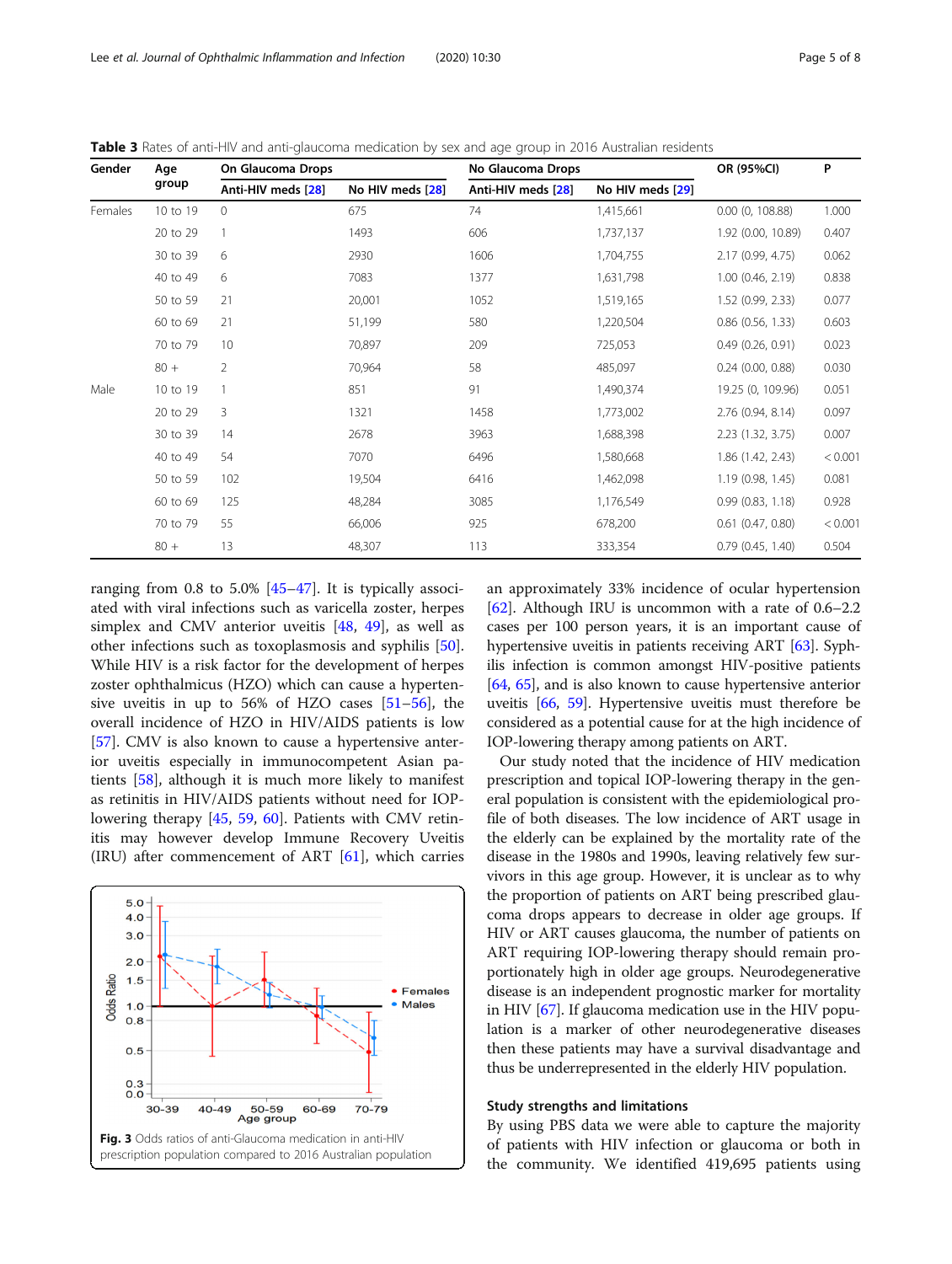| Gender  | Age<br>group | On Glaucoma Drops  |                  | No Glaucoma Drops  | OR (95%CI)       | P                     |         |
|---------|--------------|--------------------|------------------|--------------------|------------------|-----------------------|---------|
|         |              | Anti-HIV meds [28] | No HIV meds [28] | Anti-HIV meds [28] | No HIV meds [29] |                       |         |
| Females | 10 to 19     | $\Omega$           | 675              | 74                 | 1,415,661        | $0.00$ $(0, 108.88)$  | 1.000   |
|         | 20 to 29     |                    | 1493             | 606                | 1,737,137        | 1.92 (0.00, 10.89)    | 0.407   |
|         | 30 to 39     | 6                  | 2930             | 1606               | 1,704,755        | 2.17 (0.99, 4.75)     | 0.062   |
|         | 40 to 49     | 6                  | 7083             | 1377               | 1,631,798        | $1.00$ $(0.46, 2.19)$ | 0.838   |
|         | 50 to 59     | 21                 | 20,001           | 1052               | 1,519,165        | 1.52(0.99, 2.33)      | 0.077   |
|         | 60 to 69     | 21                 | 51,199           | 580                | 1,220,504        | $0.86$ $(0.56, 1.33)$ | 0.603   |
|         | 70 to 79     | 10                 | 70,897           | 209                | 725,053          | 0.49(0.26, 0.91)      | 0.023   |
|         | $80 +$       | $\overline{2}$     | 70,964           | 58                 | 485,097          | $0.24$ (0.00, 0.88)   | 0.030   |
| Male    | 10 to 19     |                    | 851              | 91                 | 1,490,374        | 19.25 (0, 109.96)     | 0.051   |
|         | 20 to 29     | 3                  | 1321             | 1458               | 1,773,002        | 2.76 (0.94, 8.14)     | 0.097   |
|         | 30 to 39     | 14                 | 2678             | 3963               | 1,688,398        | 2.23 (1.32, 3.75)     | 0.007   |
|         | 40 to 49     | 54                 | 7070             | 6496               | 1,580,668        | 1.86 (1.42, 2.43)     | < 0.001 |
|         | 50 to 59     | 102                | 19,504           | 6416               | 1,462,098        | 1.19(0.98, 1.45)      | 0.081   |
|         | 60 to 69     | 125                | 48,284           | 3085               | 1,176,549        | 0.99(0.83, 1.18)      | 0.928   |
|         | 70 to 79     | 55                 | 66,006           | 925                | 678,200          | $0.61$ $(0.47, 0.80)$ | < 0.001 |
|         | $80 +$       | 13                 | 48,307           | 113                | 333,354          | 0.79(0.45, 1.40)      | 0.504   |

<span id="page-4-0"></span>Table 3 Rates of anti-HIV and anti-glaucoma medication by sex and age group in 2016 Australian residents

ranging from 0.8 to 5.0%  $[45-47]$  $[45-47]$  $[45-47]$  $[45-47]$  $[45-47]$ . It is typically associated with viral infections such as varicella zoster, herpes simplex and CMV anterior uveitis [[48](#page-6-0), [49](#page-6-0)], as well as other infections such as toxoplasmosis and syphilis [\[50](#page-6-0)]. While HIV is a risk factor for the development of herpes zoster ophthalmicus (HZO) which can cause a hypertensive uveitis in up to 56% of HZO cases [[51](#page-6-0)–[56](#page-7-0)], the overall incidence of HZO in HIV/AIDS patients is low [[57\]](#page-7-0). CMV is also known to cause a hypertensive anterior uveitis especially in immunocompetent Asian patients [\[58](#page-7-0)], although it is much more likely to manifest as retinitis in HIV/AIDS patients without need for IOPlowering therapy [\[45](#page-6-0), [59,](#page-7-0) [60\]](#page-7-0). Patients with CMV retinitis may however develop Immune Recovery Uveitis (IRU) after commencement of ART [[61](#page-7-0)], which carries



an approximately 33% incidence of ocular hypertension [[62\]](#page-7-0). Although IRU is uncommon with a rate of 0.6–2.2 cases per 100 person years, it is an important cause of hypertensive uveitis in patients receiving ART [\[63](#page-7-0)]. Syphilis infection is common amongst HIV-positive patients [[64](#page-7-0), [65](#page-7-0)], and is also known to cause hypertensive anterior uveitis [\[66](#page-7-0), [59\]](#page-7-0). Hypertensive uveitis must therefore be considered as a potential cause for at the high incidence of IOP-lowering therapy among patients on ART.

Our study noted that the incidence of HIV medication prescription and topical IOP-lowering therapy in the general population is consistent with the epidemiological profile of both diseases. The low incidence of ART usage in the elderly can be explained by the mortality rate of the disease in the 1980s and 1990s, leaving relatively few survivors in this age group. However, it is unclear as to why the proportion of patients on ART being prescribed glaucoma drops appears to decrease in older age groups. If HIV or ART causes glaucoma, the number of patients on ART requiring IOP-lowering therapy should remain proportionately high in older age groups. Neurodegenerative disease is an independent prognostic marker for mortality in HIV [\[67\]](#page-7-0). If glaucoma medication use in the HIV population is a marker of other neurodegenerative diseases then these patients may have a survival disadvantage and thus be underrepresented in the elderly HIV population.

## Study strengths and limitations

By using PBS data we were able to capture the majority of patients with HIV infection or glaucoma or both in the community. We identified 419,695 patients using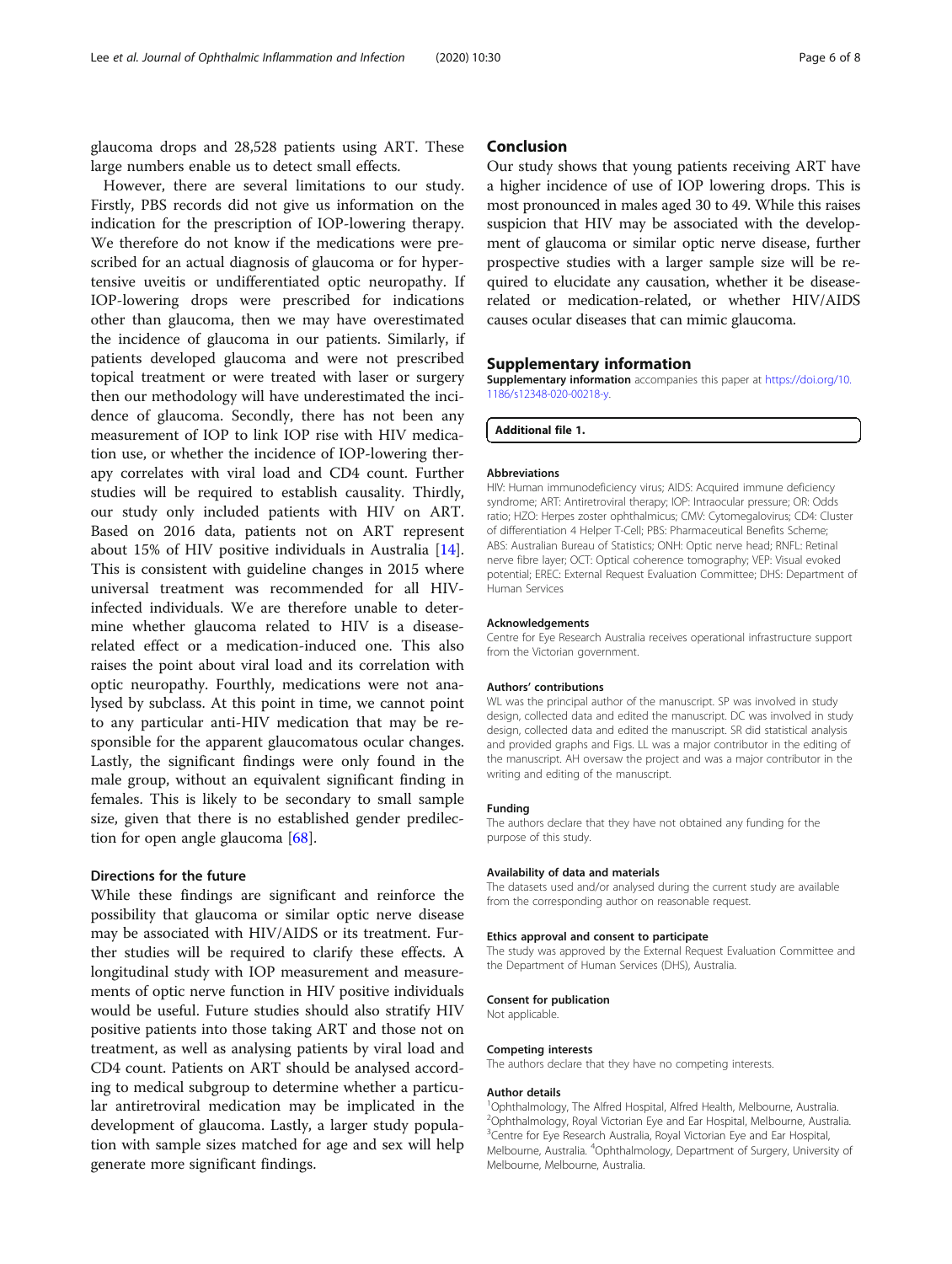glaucoma drops and 28,528 patients using ART. These large numbers enable us to detect small effects.

However, there are several limitations to our study. Firstly, PBS records did not give us information on the indication for the prescription of IOP-lowering therapy. We therefore do not know if the medications were prescribed for an actual diagnosis of glaucoma or for hypertensive uveitis or undifferentiated optic neuropathy. If IOP-lowering drops were prescribed for indications other than glaucoma, then we may have overestimated the incidence of glaucoma in our patients. Similarly, if patients developed glaucoma and were not prescribed topical treatment or were treated with laser or surgery then our methodology will have underestimated the incidence of glaucoma. Secondly, there has not been any measurement of IOP to link IOP rise with HIV medication use, or whether the incidence of IOP-lowering therapy correlates with viral load and CD4 count. Further studies will be required to establish causality. Thirdly, our study only included patients with HIV on ART. Based on 2016 data, patients not on ART represent about 15% of HIV positive individuals in Australia [\[14](#page-6-0)]. This is consistent with guideline changes in 2015 where universal treatment was recommended for all HIVinfected individuals. We are therefore unable to determine whether glaucoma related to HIV is a diseaserelated effect or a medication-induced one. This also raises the point about viral load and its correlation with optic neuropathy. Fourthly, medications were not analysed by subclass. At this point in time, we cannot point to any particular anti-HIV medication that may be responsible for the apparent glaucomatous ocular changes. Lastly, the significant findings were only found in the male group, without an equivalent significant finding in females. This is likely to be secondary to small sample size, given that there is no established gender predilection for open angle glaucoma [\[68\]](#page-7-0).

## Directions for the future

While these findings are significant and reinforce the possibility that glaucoma or similar optic nerve disease may be associated with HIV/AIDS or its treatment. Further studies will be required to clarify these effects. A longitudinal study with IOP measurement and measurements of optic nerve function in HIV positive individuals would be useful. Future studies should also stratify HIV positive patients into those taking ART and those not on treatment, as well as analysing patients by viral load and CD4 count. Patients on ART should be analysed according to medical subgroup to determine whether a particular antiretroviral medication may be implicated in the development of glaucoma. Lastly, a larger study population with sample sizes matched for age and sex will help generate more significant findings.

# Conclusion

Our study shows that young patients receiving ART have a higher incidence of use of IOP lowering drops. This is most pronounced in males aged 30 to 49. While this raises suspicion that HIV may be associated with the development of glaucoma or similar optic nerve disease, further prospective studies with a larger sample size will be required to elucidate any causation, whether it be diseaserelated or medication-related, or whether HIV/AIDS causes ocular diseases that can mimic glaucoma.

# Supplementary information

Supplementary information accompanies this paper at [https://doi.org/10.](https://doi.org/10.1186/s12348-020-00218-y) [1186/s12348-020-00218-y](https://doi.org/10.1186/s12348-020-00218-y).

Additional file 1.

#### Abbreviations

HIV: Human immunodeficiency virus; AIDS: Acquired immune deficiency syndrome; ART: Antiretroviral therapy; IOP: Intraocular pressure; OR: Odds ratio; HZO: Herpes zoster ophthalmicus; CMV: Cytomegalovirus; CD4: Cluster of differentiation 4 Helper T-Cell; PBS: Pharmaceutical Benefits Scheme; ABS: Australian Bureau of Statistics; ONH: Optic nerve head; RNFL: Retinal nerve fibre layer; OCT: Optical coherence tomography; VEP: Visual evoked potential; EREC: External Request Evaluation Committee; DHS: Department of Human Services

#### Acknowledgements

Centre for Eye Research Australia receives operational infrastructure support from the Victorian government.

#### Authors' contributions

WL was the principal author of the manuscript. SP was involved in study design, collected data and edited the manuscript. DC was involved in study design, collected data and edited the manuscript. SR did statistical analysis and provided graphs and Figs. LL was a major contributor in the editing of the manuscript. AH oversaw the project and was a major contributor in the writing and editing of the manuscript.

#### Funding

The authors declare that they have not obtained any funding for the purpose of this study.

#### Availability of data and materials

The datasets used and/or analysed during the current study are available from the corresponding author on reasonable request.

## Ethics approval and consent to participate

The study was approved by the External Request Evaluation Committee and the Department of Human Services (DHS), Australia.

#### Consent for publication

Not applicable.

#### Competing interests

The authors declare that they have no competing interests.

#### Author details

<sup>1</sup>Ophthalmology, The Alfred Hospital, Alfred Health, Melbourne, Australia. 2 Ophthalmology, Royal Victorian Eye and Ear Hospital, Melbourne, Australia. <sup>3</sup> Centre for Eye Research Australia, Royal Victorian Eye and Ear Hospital Melbourne, Australia. <sup>4</sup>Ophthalmology, Department of Surgery, University of Melbourne, Melbourne, Australia.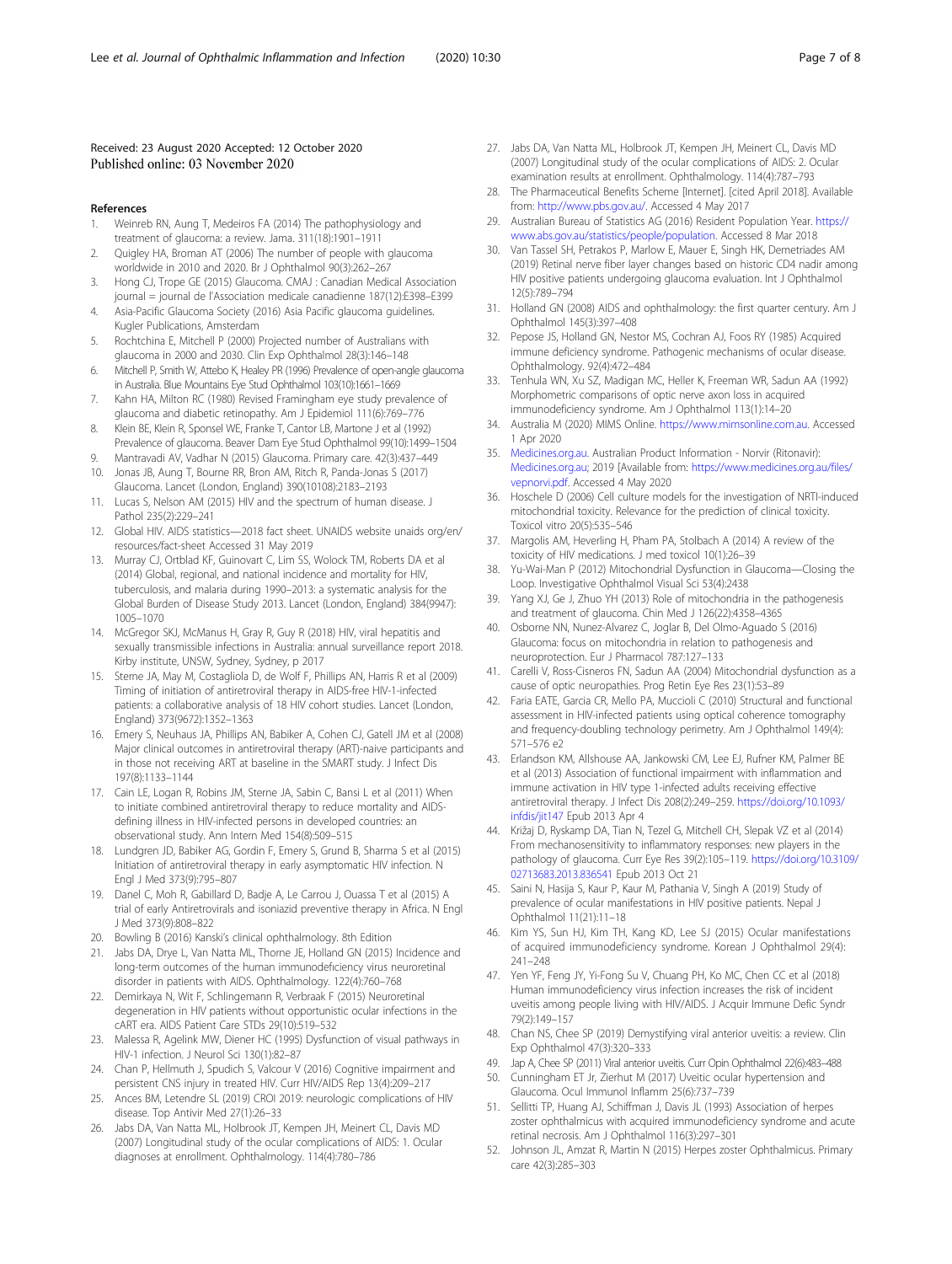## <span id="page-6-0"></span>Received: 23 August 2020 Accepted: 12 October 2020 Published online: 03 November 2020

- References
- 1. Weinreb RN, Aung T, Medeiros FA (2014) The pathophysiology and treatment of glaucoma: a review. Jama. 311(18):1901–1911
- 2. Quigley HA, Broman AT (2006) The number of people with glaucoma worldwide in 2010 and 2020. Br J Ophthalmol 90(3):262–267
- 3. Hong CJ, Trope GE (2015) Glaucoma. CMAJ : Canadian Medical Association journal = journal de l'Association medicale canadienne 187(12):E398–E399
- 4. Asia-Pacific Glaucoma Society (2016) Asia Pacific glaucoma guidelines. Kugler Publications, Amsterdam
- 5. Rochtchina E, Mitchell P (2000) Projected number of Australians with glaucoma in 2000 and 2030. Clin Exp Ophthalmol 28(3):146–148
- 6. Mitchell P, Smith W, Attebo K, Healey PR (1996) Prevalence of open-angle glaucoma in Australia. Blue Mountains Eye Stud Ophthalmol 103(10):1661–1669
- 7. Kahn HA, Milton RC (1980) Revised Framingham eye study prevalence of glaucoma and diabetic retinopathy. Am J Epidemiol 111(6):769–776
- 8. Klein BE, Klein R, Sponsel WE, Franke T, Cantor LB, Martone J et al (1992) Prevalence of glaucoma. Beaver Dam Eye Stud Ophthalmol 99(10):1499–1504
- 9. Mantravadi AV, Vadhar N (2015) Glaucoma. Primary care. 42(3):437–449
- 10. Jonas JB, Aung T, Bourne RR, Bron AM, Ritch R, Panda-Jonas S (2017) Glaucoma. Lancet (London, England) 390(10108):2183–2193
- 11. Lucas S, Nelson AM (2015) HIV and the spectrum of human disease. J Pathol 235(2):229–241
- 12. Global HIV. AIDS statistics—2018 fact sheet. UNAIDS website unaids org/en/ resources/fact-sheet Accessed 31 May 2019
- 13. Murray CJ, Ortblad KF, Guinovart C, Lim SS, Wolock TM, Roberts DA et al (2014) Global, regional, and national incidence and mortality for HIV, tuberculosis, and malaria during 1990–2013: a systematic analysis for the Global Burden of Disease Study 2013. Lancet (London, England) 384(9947): 1005–1070
- 14. McGregor SKJ, McManus H, Gray R, Guy R (2018) HIV, viral hepatitis and sexually transmissible infections in Australia: annual surveillance report 2018. Kirby institute, UNSW, Sydney, Sydney, p 2017
- 15. Sterne JA, May M, Costagliola D, de Wolf F, Phillips AN, Harris R et al (2009) Timing of initiation of antiretroviral therapy in AIDS-free HIV-1-infected patients: a collaborative analysis of 18 HIV cohort studies. Lancet (London, England) 373(9672):1352–1363
- 16. Emery S, Neuhaus JA, Phillips AN, Babiker A, Cohen CJ, Gatell JM et al (2008) Major clinical outcomes in antiretroviral therapy (ART)-naive participants and in those not receiving ART at baseline in the SMART study. J Infect Dis 197(8):1133–1144
- 17. Cain LE, Logan R, Robins JM, Sterne JA, Sabin C, Bansi L et al (2011) When to initiate combined antiretroviral therapy to reduce mortality and AIDSdefining illness in HIV-infected persons in developed countries: an observational study. Ann Intern Med 154(8):509–515
- 18. Lundgren JD, Babiker AG, Gordin F, Emery S, Grund B, Sharma S et al (2015) Initiation of antiretroviral therapy in early asymptomatic HIV infection. N Engl J Med 373(9):795–807
- 19. Danel C, Moh R, Gabillard D, Badje A, Le Carrou J, Ouassa T et al (2015) A trial of early Antiretrovirals and isoniazid preventive therapy in Africa. N Engl J Med 373(9):808–822
- 20. Bowling B (2016) Kanski's clinical ophthalmology. 8th Edition
- 21. Jabs DA, Drye L, Van Natta ML, Thorne JE, Holland GN (2015) Incidence and long-term outcomes of the human immunodefıciency virus neuroretinal disorder in patients with AIDS. Ophthalmology. 122(4):760–768
- 22. Demirkaya N, Wit F, Schlingemann R, Verbraak F (2015) Neuroretinal degeneration in HIV patients without opportunistic ocular infections in the cART era. AIDS Patient Care STDs 29(10):519–532
- 23. Malessa R, Agelink MW, Diener HC (1995) Dysfunction of visual pathways in HIV-1 infection. J Neurol Sci 130(1):82–87
- 24. Chan P, Hellmuth J, Spudich S, Valcour V (2016) Cognitive impairment and persistent CNS injury in treated HIV. Curr HIV/AIDS Rep 13(4):209–217
- 25. Ances BM, Letendre SL (2019) CROI 2019: neurologic complications of HIV disease. Top Antivir Med 27(1):26–33
- 26. Jabs DA, Van Natta ML, Holbrook JT, Kempen JH, Meinert CL, Davis MD (2007) Longitudinal study of the ocular complications of AIDS: 1. Ocular diagnoses at enrollment. Ophthalmology. 114(4):780–786
- 27. Jabs DA, Van Natta ML, Holbrook JT, Kempen JH, Meinert CL, Davis MD (2007) Longitudinal study of the ocular complications of AIDS: 2. Ocular examination results at enrollment. Ophthalmology. 114(4):787–793
- 28. The Pharmaceutical Benefits Scheme [Internet]. [cited April 2018]. Available from: [http://www.pbs.gov.au/.](http://www.pbs.gov.au/) Accessed 4 May 2017
- 29. Australian Bureau of Statistics AG (2016) Resident Population Year. [https://](https://www.abs.gov.au/statistics/people/population) [www.abs.gov.au/statistics/people/population.](https://www.abs.gov.au/statistics/people/population) Accessed 8 Mar 2018
- 30. Van Tassel SH, Petrakos P, Marlow E, Mauer E, Singh HK, Demetriades AM (2019) Retinal nerve fiber layer changes based on historic CD4 nadir among HIV positive patients undergoing glaucoma evaluation. Int J Ophthalmol 12(5):789–794
- 31. Holland GN (2008) AIDS and ophthalmology: the first quarter century. Am J Ophthalmol 145(3):397–408
- 32. Pepose JS, Holland GN, Nestor MS, Cochran AJ, Foos RY (1985) Acquired immune deficiency syndrome. Pathogenic mechanisms of ocular disease. Ophthalmology. 92(4):472–484
- 33. Tenhula WN, Xu SZ, Madigan MC, Heller K, Freeman WR, Sadun AA (1992) Morphometric comparisons of optic nerve axon loss in acquired immunodeficiency syndrome. Am J Ophthalmol 113(1):14–20
- 34. Australia M (2020) MIMS Online. <https://www.mimsonline.com.au>. Accessed 1 Apr 2020
- 35. [Medicines.org.au](http://medicines.org.au). Australian Product Information Norvir (Ritonavir): [Medicines.org.au](http://medicines.org.au); 2019 [Available from: [https://www.medicines.org.au/files/](https://www.medicines.org.au/files/vepnorvi.pdf) [vepnorvi.pdf](https://www.medicines.org.au/files/vepnorvi.pdf). Accessed 4 May 2020
- 36. Hoschele D (2006) Cell culture models for the investigation of NRTI-induced mitochondrial toxicity. Relevance for the prediction of clinical toxicity. Toxicol vitro 20(5):535–546
- 37. Margolis AM, Heverling H, Pham PA, Stolbach A (2014) A review of the toxicity of HIV medications. J med toxicol 10(1):26–39
- 38. Yu-Wai-Man P (2012) Mitochondrial Dysfunction in Glaucoma—Closing the Loop. Investigative Ophthalmol Visual Sci 53(4):2438
- 39. Yang XJ, Ge J, Zhuo YH (2013) Role of mitochondria in the pathogenesis and treatment of glaucoma. Chin Med J 126(22):4358–4365
- 40. Osborne NN, Nunez-Alvarez C, Joglar B, Del Olmo-Aguado S (2016) Glaucoma: focus on mitochondria in relation to pathogenesis and neuroprotection. Eur J Pharmacol 787:127–133
- 41. Carelli V, Ross-Cisneros FN, Sadun AA (2004) Mitochondrial dysfunction as a cause of optic neuropathies. Prog Retin Eye Res 23(1):53–89
- 42. Faria EATE, Garcia CR, Mello PA, Muccioli C (2010) Structural and functional assessment in HIV-infected patients using optical coherence tomography and frequency-doubling technology perimetry. Am J Ophthalmol 149(4): 571–576 e2
- 43. Erlandson KM, Allshouse AA, Jankowski CM, Lee EJ, Rufner KM, Palmer BE et al (2013) Association of functional impairment with inflammation and immune activation in HIV type 1-infected adults receiving effective antiretroviral therapy. J Infect Dis 208(2):249–259. [https://doi.org/10.1093/](https://doi.org/10.1093/infdis/jit147) [infdis/jit147](https://doi.org/10.1093/infdis/jit147) Epub 2013 Apr 4
- 44. Križaj D, Ryskamp DA, Tian N, Tezel G, Mitchell CH, Slepak VZ et al (2014) From mechanosensitivity to inflammatory responses: new players in the pathology of glaucoma. Curr Eye Res 39(2):105–119. [https://doi.org/10.3109/](https://doi.org/10.3109/02713683.2013.836541) [02713683.2013.836541](https://doi.org/10.3109/02713683.2013.836541) Epub 2013 Oct 21
- 45. Saini N, Hasija S, Kaur P, Kaur M, Pathania V, Singh A (2019) Study of prevalence of ocular manifestations in HIV positive patients. Nepal J Ophthalmol 11(21):11–18
- 46. Kim YS, Sun HJ, Kim TH, Kang KD, Lee SJ (2015) Ocular manifestations of acquired immunodeficiency syndrome. Korean J Ophthalmol 29(4): 241–248
- 47. Yen YF, Feng JY, Yi-Fong Su V, Chuang PH, Ko MC, Chen CC et al (2018) Human immunodeficiency virus infection increases the risk of incident uveitis among people living with HIV/AIDS. J Acquir Immune Defic Syndr 79(2):149–157
- 48. Chan NS, Chee SP (2019) Demystifying viral anterior uveitis: a review. Clin Exp Ophthalmol 47(3):320–333
- 49. Jap A, Chee SP (2011) Viral anterior uveitis. Curr Opin Ophthalmol 22(6):483–488
- 50. Cunningham ET Jr, Zierhut M (2017) Uveitic ocular hypertension and Glaucoma. Ocul Immunol Inflamm 25(6):737–739
- 51. Sellitti TP, Huang AJ, Schiffman J, Davis JL (1993) Association of herpes zoster ophthalmicus with acquired immunodeficiency syndrome and acute retinal necrosis. Am J Ophthalmol 116(3):297–301
- 52. Johnson JL, Amzat R, Martin N (2015) Herpes zoster Ophthalmicus. Primary care 42(3):285–303